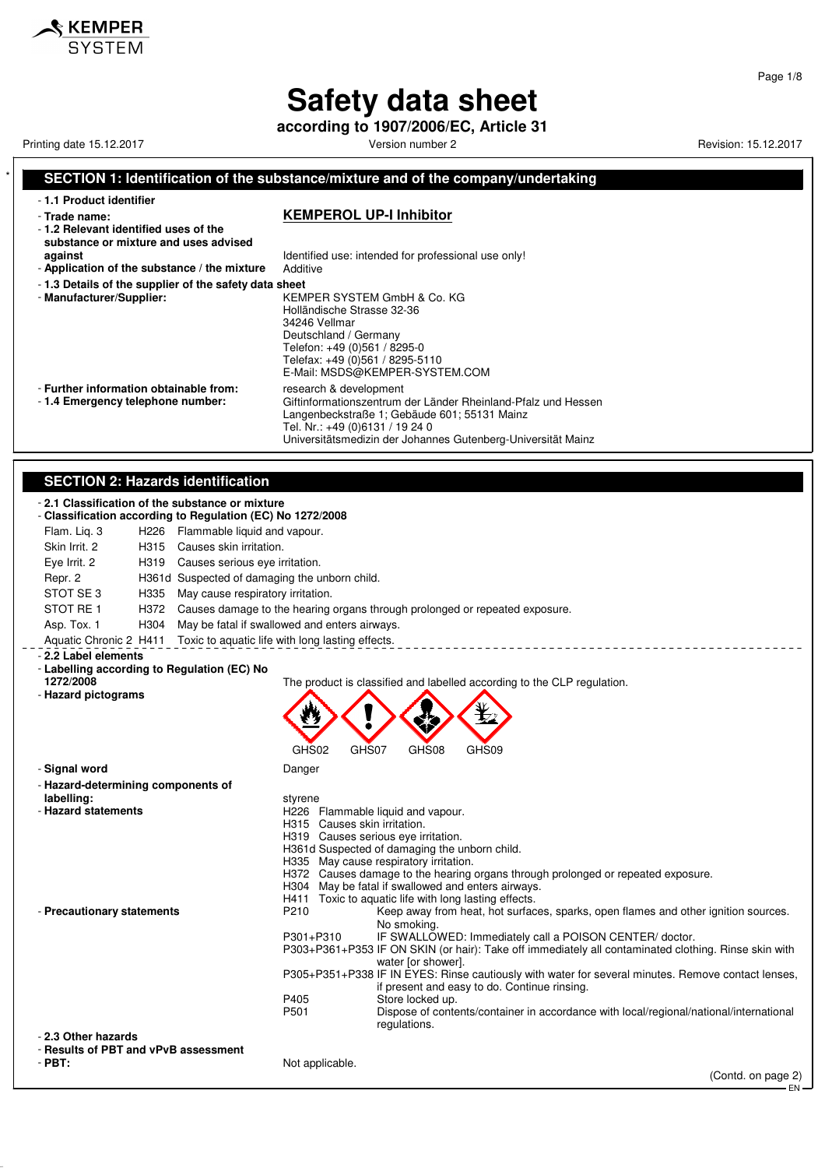**according to 1907/2006/EC, Article 31**

Printing date 15.12.2017 **Printing date 15.12.2017** Version number 2 Revision: 15.12.2017

 $\mathbf$  KEMPER

#### **SECTION 1: Identification of the substance/mixture and of the company/undertaking** - **1.1 Product identifier** - **Trade name: KEMPEROL UP-I Inhibitor** - **1.2 Relevant identified uses of the substance or mixture and uses advised against against I** Identified use: intended for professional use only!<br>**Application of the substance / the mixture** Additive - Application of the substance / the mixture - **1.3 Details of the supplier of the safety data sheet** - **Manufacturer/Supplier:** KEMPER SYSTEM GmbH & Co. KG Holländische Strasse 32-36 34246 Vellmar Deutschland / Germany Telefon: +49 (0)561 / 8295-0 Telefax: +49 (0)561 / 8295-5110 E-Mail: MSDS@KEMPER-SYSTEM.COM - **Further information obtainable from:** research & development<br>- 1.4 **Emergency telephone number:** Giftinformationszentrum Giftinformationszentrum der Länder Rheinland-Pfalz und Hessen Langenbeckstraße 1; Gebäude 601; 55131 Mainz Tel. Nr.: +49 (0)6131 / 19 24 0 Universitätsmedizin der Johannes Gutenberg-Universität Mainz **SECTION 2: Hazards identification** - **2.1 Classification of the substance or mixture** - **Classification according to Regulation (EC) No 1272/2008** Flam. Liq. 3 H226 Flammable liquid and vapour. Skin Irrit. 2 H315 Causes skin irritation. Eye Irrit. 2 H319 Causes serious eye irritation. Repr. 2 H361d Suspected of damaging the unborn child. STOT SE 3 H335 May cause respiratory irritation. STOT RE 1 H372 Causes damage to the hearing organs through prolonged or repeated exposure. Asp. Tox. 1 H304 May be fatal if swallowed and enters airways. Aquatic Chronic 2 H411 Toxic to aquatic life with long lasting effects. \_\_\_\_\_\_\_\_\_\_\_\_\_\_\_\_\_ - **2.2 Label elements** - **Labelling according to Regulation (EC) No 1272/2008** The product is classified and labelled according to the CLP regulation. - **Hazard pictograms** GHS02 GHS07 GHS08 GHS09 - **Signal word** Danger - **Hazard-determining components of labelling:** styrene<br> **labelling:** statements<br> **hazard statements** H<sub>226</sub> Flammable liquid and vapour.<br>H<sub>215</sub> Causes skin irritation. Causes skin irritation. H319 Causes serious eye irritation. H361d Suspected of damaging the unborn child. H335 May cause respiratory irritation. H372 Causes damage to the hearing organs through prolonged or repeated exposure.<br>H304 May be fatal if swallowed and enters airways. H304 May be fatal if swallowed and enters airways.<br>H411 Toxic to aquatic life with long lasting effects. H411 Toxic to aquatic life with long lasting effects.<br>P210 Keep away from heat, hot surfac - **Precautionary statements** P210 Keep away from heat, hot surfaces, sparks, open flames and other ignition sources. No smoking. P301+P310 IF SWALLOWED: Immediately call a POISON CENTER/ doctor. P303+P361+P353 IF ON SKIN (or hair): Take off immediately all contaminated clothing. Rinse skin with water [or shower]. P305+P351+P338 IF IN EYES: Rinse cautiously with water for several minutes. Remove contact lenses, if present and easy to do. Continue rinsing. P405 Store locked up.<br>P501 Dispose of conte P501 Dispose of contents/container in accordance with local/regional/national/international regulations. - **2.3 Other hazards** - **Results of PBT and vPvB assessment** - **PBT:** Not applicable. (Contd. on page 2) EN

Page 1/8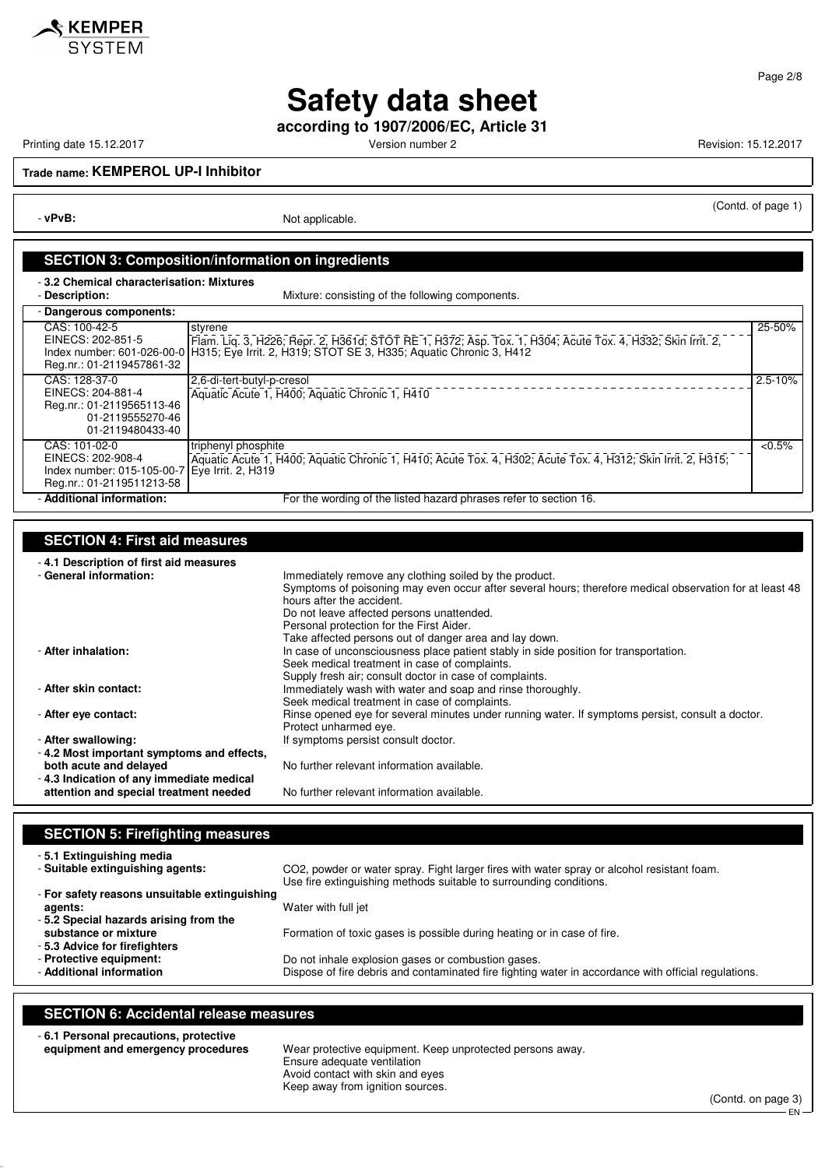

**according to 1907/2006/EC, Article 31**

 $\hat{\mathcal{S}}$  KEMPER

Printing date 15.12.2017 **Printing date 15.12.2017** Version number 2 **Revision: 15.12.2017** 

(Contd. of page 1)

Page 2/8

**Trade name: KEMPEROL UP-I Inhibitor**

- **vPvB:** Not applicable.

#### **SECTION 3: Composition/information on ingredients**

- **3.2 Chemical characterisation: Mixtures**

| <b>Description</b> |  |
|--------------------|--|
|                    |  |

Mixture: consisting of the following components.

| - Dangerous components:                                                                                          |                                                                                                                                                                                                                                          |           |
|------------------------------------------------------------------------------------------------------------------|------------------------------------------------------------------------------------------------------------------------------------------------------------------------------------------------------------------------------------------|-----------|
| CAS: 100-42-5<br>Reg.nr.: 01-2119457861-32                                                                       | styrene<br>EINECS: 202-851-5 [Flam. Liq. 3, H226; Repr. 2, H361d; STOT RE 1, H372; Asp. Tox. 1, H304; Acute Tox. 4, H332; Skin Irrit. 2, Index number: 601-026-00-0   H315; Eye Irrit. 2, H319; STOT SE 3, H335; Aquatic Chronic 3, H412 | 25-50%    |
| CAS: 128-37-0<br>EINECS: 204-881-4<br>Reg.nr.: 01-2119565113-46<br>01-2119555270-46<br>01-2119480433-40          | 2,6-di-tert-butyl-p-cresol<br>Aquatic Acute 1, H400; Aquatic Chronic 1, H410                                                                                                                                                             | 2.5-10%   |
| CAS: 101-02-0<br>EINECS: 202-908-4<br>Index number: 015-105-00-7 Eye Irrit. 2, H319<br>Reg.nr.: 01-2119511213-58 | triphenyl phosphite<br>Aquatic Acute 1, H400; Aquatic Chronic 1, H410; Acute Tox. 4, H302; Acute Tox. 4, H312; Skin Irrit. 2, H315;                                                                                                      | $< 0.5\%$ |
| - Additional information:                                                                                        | For the wording of the listed hazard phrases refer to section 16.                                                                                                                                                                        |           |

#### **SECTION 4: First aid measures**

- **4.1 Description of first aid measures** Immediately remove any clothing soiled by the product. Symptoms of poisoning may even occur after several hours; therefore medical observation for at least 48 hours after the accident. Do not leave affected persons unattended. Personal protection for the First Aider. Take affected persons out of danger area and lay down. - **After inhalation:** In case of unconsciousness place patient stably in side position for transportation. Seek medical treatment in case of complaints. Supply fresh air; consult doctor in case of complaints. - **After skin contact:** Immediately wash with water and soap and rinse thoroughly. Seek medical treatment in case of complaints. - **After eye contact: Rinse opened eye for several minutes under running water. If symptoms persist, consult a doctor.** Protect unharmed eye. - **After swallowing:** If symptoms persist consult doctor. - **4.2 Most important symptoms and effects,** No further relevant information available. - **4.3 Indication of any immediate medical attention and special treatment needed** No further relevant information available.

#### **SECTION 5: Firefighting measures**

| -5.1 Extinguishing media                                                                          | CO2, powder or water spray. Fight larger fires with water spray or alcohol resistant foam.           |
|---------------------------------------------------------------------------------------------------|------------------------------------------------------------------------------------------------------|
| - Suitable extinguishing agents:                                                                  | Use fire extinguishing methods suitable to surrounding conditions.                                   |
| - For safety reasons unsuitable extinguishing<br>agents:<br>-5.2 Special hazards arising from the | Water with full jet                                                                                  |
| substance or mixture<br>-5.3 Advice for firefighters                                              | Formation of toxic gases is possible during heating or in case of fire.                              |
| - Protective equipment:                                                                           | Do not inhale explosion gases or combustion gases.                                                   |
| - Additional information                                                                          | Dispose of fire debris and contaminated fire fighting water in accordance with official regulations. |

#### **SECTION 6: Accidental release measures**

- **6.1 Personal precautions, protective**

**equipment and emergency procedures** Wear protective equipment. Keep unprotected persons away. Ensure adequate ventilation Avoid contact with skin and eyes Keep away from ignition sources.

(Contd. on page 3) EN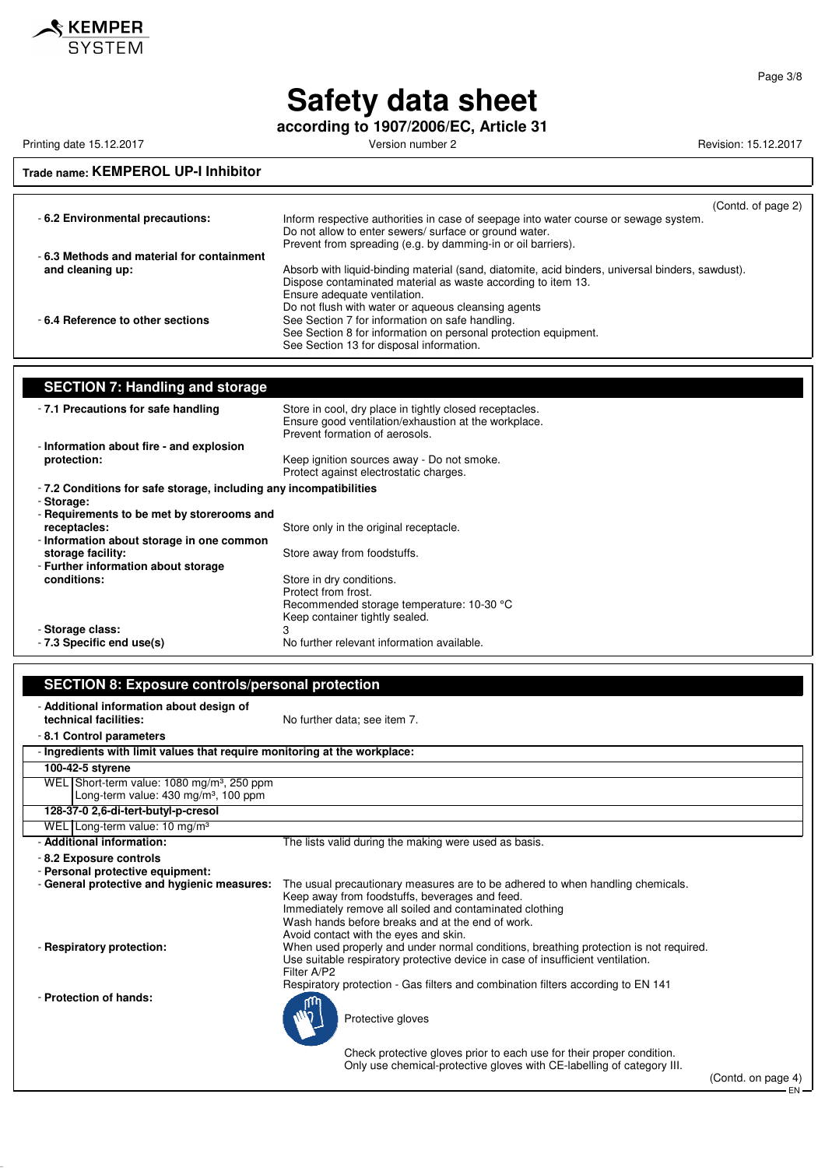

**according to 1907/2006/EC, Article 31**

Printing date 15.12.2017 **Printing date 15.12.2017** Version number 2 Revision: 15.12.2017

## **Trade name: KEMPEROL UP-I Inhibitor**

| -6.2 Environmental precautions:           | (Contd. of page 2)<br>Inform respective authorities in case of seepage into water course or sewage system.<br>Do not allow to enter sewers/ surface or ground water.                                                  |
|-------------------------------------------|-----------------------------------------------------------------------------------------------------------------------------------------------------------------------------------------------------------------------|
| -6.3 Methods and material for containment | Prevent from spreading (e.g. by damming-in or oil barriers).                                                                                                                                                          |
| and cleaning up:                          | Absorb with liquid-binding material (sand, diatomite, acid binders, universal binders, sawdust).<br>Dispose contaminated material as waste according to item 13.<br>Ensure adequate ventilation.                      |
| -6.4 Reference to other sections          | Do not flush with water or aqueous cleansing agents<br>See Section 7 for information on safe handling.<br>See Section 8 for information on personal protection equipment.<br>See Section 13 for disposal information. |

| <b>SECTION 7: Handling and storage</b>                            |                                                                                                                                                   |  |
|-------------------------------------------------------------------|---------------------------------------------------------------------------------------------------------------------------------------------------|--|
| -7.1 Precautions for safe handling                                | Store in cool, dry place in tightly closed receptacles.<br>Ensure good ventilation/exhaustion at the workplace.<br>Prevent formation of aerosols. |  |
| - Information about fire - and explosion                          |                                                                                                                                                   |  |
| protection:                                                       | Keep ignition sources away - Do not smoke.<br>Protect against electrostatic charges.                                                              |  |
| -7.2 Conditions for safe storage, including any incompatibilities |                                                                                                                                                   |  |
| - Storage:                                                        |                                                                                                                                                   |  |
| - Requirements to be met by storerooms and                        |                                                                                                                                                   |  |
| receptacles:                                                      | Store only in the original receptacle.                                                                                                            |  |
| - Information about storage in one common                         |                                                                                                                                                   |  |
| storage facility:                                                 | Store away from foodstuffs.                                                                                                                       |  |
| - Further information about storage                               |                                                                                                                                                   |  |
| conditions:                                                       | Store in dry conditions.                                                                                                                          |  |
|                                                                   | Protect from frost.                                                                                                                               |  |
|                                                                   | Recommended storage temperature: 10-30 °C                                                                                                         |  |
|                                                                   | Keep container tightly sealed.                                                                                                                    |  |
| - Storage class:                                                  |                                                                                                                                                   |  |
| -7.3 Specific end use(s)                                          | No further relevant information available.                                                                                                        |  |

| <b>SECTION 8: Exposure controls/personal protection</b>                                                                                                                                                                                                                                                                                                                                                |                                                                                            |  |  |
|--------------------------------------------------------------------------------------------------------------------------------------------------------------------------------------------------------------------------------------------------------------------------------------------------------------------------------------------------------------------------------------------------------|--------------------------------------------------------------------------------------------|--|--|
| - Additional information about design of<br>technical facilities:                                                                                                                                                                                                                                                                                                                                      | No further data: see item 7.                                                               |  |  |
| -8.1 Control parameters                                                                                                                                                                                                                                                                                                                                                                                |                                                                                            |  |  |
|                                                                                                                                                                                                                                                                                                                                                                                                        | - Ingredients with limit values that require monitoring at the workplace:                  |  |  |
| 100-42-5 styrene                                                                                                                                                                                                                                                                                                                                                                                       |                                                                                            |  |  |
| WEL Short-term value: 1080 mg/m <sup>3</sup> , 250 ppm<br>Long-term value: $430 \text{ mg/m}^3$ , 100 ppm                                                                                                                                                                                                                                                                                              |                                                                                            |  |  |
| 128-37-0 2,6-di-tert-butyl-p-cresol                                                                                                                                                                                                                                                                                                                                                                    |                                                                                            |  |  |
| WEL Long-term value: $10 \text{ mg/m}^3$                                                                                                                                                                                                                                                                                                                                                               |                                                                                            |  |  |
| - Additional information:                                                                                                                                                                                                                                                                                                                                                                              | The lists valid during the making were used as basis.                                      |  |  |
| - 8.2 Exposure controls<br>- Personal protective equipment:<br>- General protective and hygienic measures:<br>The usual precautionary measures are to be adhered to when handling chemicals.<br>Keep away from foodstuffs, beverages and feed.<br>Immediately remove all soiled and contaminated clothing<br>Wash hands before breaks and at the end of work.<br>Avoid contact with the eyes and skin. |                                                                                            |  |  |
| When used properly and under normal conditions, breathing protection is not required.<br>- Respiratory protection:<br>Use suitable respiratory protective device in case of insufficient ventilation.<br>Filter A/P2<br>Respiratory protection - Gas filters and combination filters according to EN 141                                                                                               |                                                                                            |  |  |
| - Protection of hands:                                                                                                                                                                                                                                                                                                                                                                                 | Protective gloves<br>Check protective gloves prior to each use for their proper condition. |  |  |
|                                                                                                                                                                                                                                                                                                                                                                                                        | Only use chemical-protective gloves with CE-labelling of category III.                     |  |  |

Page 3/8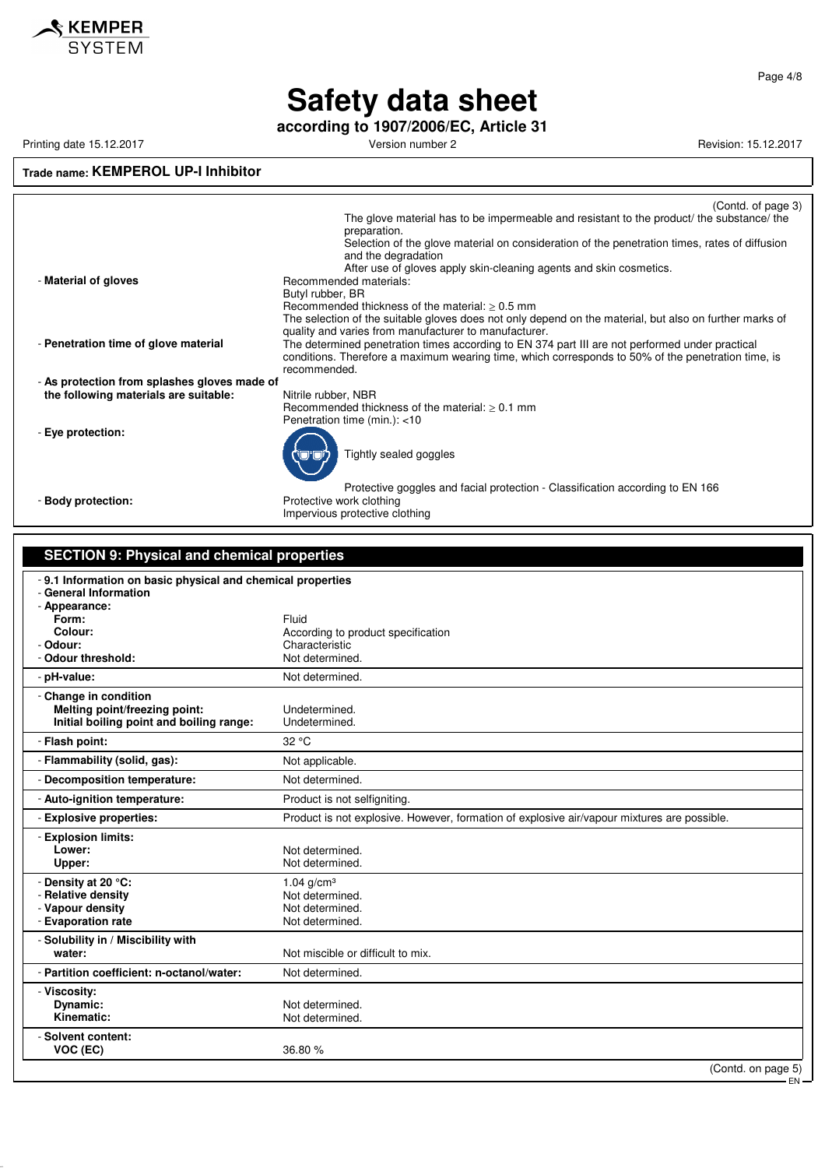

**according to 1907/2006/EC, Article 31**

Printing date 15.12.2017 **Version number 2** Version number 2 Revision: 15.12.2017

## **Trade name: KEMPEROL UP-I Inhibitor**

|                                                             | (Contd. of page 3)                                                                                                                                               |
|-------------------------------------------------------------|------------------------------------------------------------------------------------------------------------------------------------------------------------------|
|                                                             | The glove material has to be impermeable and resistant to the product/ the substance/ the<br>preparation.                                                        |
|                                                             | Selection of the glove material on consideration of the penetration times, rates of diffusion                                                                    |
|                                                             | and the degradation                                                                                                                                              |
| - Material of gloves                                        | After use of gloves apply skin-cleaning agents and skin cosmetics.<br>Recommended materials:                                                                     |
|                                                             | Butyl rubber, BR                                                                                                                                                 |
|                                                             | Recommended thickness of the material: $\geq 0.5$ mm                                                                                                             |
|                                                             | The selection of the suitable gloves does not only depend on the material, but also on further marks of<br>quality and varies from manufacturer to manufacturer. |
| - Penetration time of glove material                        | The determined penetration times according to EN 374 part III are not performed under practical                                                                  |
|                                                             | conditions. Therefore a maximum wearing time, which corresponds to 50% of the penetration time, is                                                               |
| - As protection from splashes gloves made of                | recommended.                                                                                                                                                     |
| the following materials are suitable:                       | Nitrile rubber, NBR                                                                                                                                              |
|                                                             | Recommended thickness of the material: $\geq 0.1$ mm                                                                                                             |
| - Eye protection:                                           | Penetration time (min.): <10                                                                                                                                     |
|                                                             |                                                                                                                                                                  |
|                                                             | Tightly sealed goggles                                                                                                                                           |
|                                                             |                                                                                                                                                                  |
| - Body protection:                                          | Protective goggles and facial protection - Classification according to EN 166<br>Protective work clothing                                                        |
|                                                             | Impervious protective clothing                                                                                                                                   |
|                                                             |                                                                                                                                                                  |
| <b>SECTION 9: Physical and chemical properties</b>          |                                                                                                                                                                  |
|                                                             |                                                                                                                                                                  |
| - 9.1 Information on basic physical and chemical properties |                                                                                                                                                                  |
| - General Information<br>- Appearance:                      |                                                                                                                                                                  |
| Form:                                                       | Fluid                                                                                                                                                            |
| Colour:                                                     | According to product specification                                                                                                                               |
| - Odour:<br>- Odour threshold:                              | Characteristic<br>Not determined.                                                                                                                                |
| - pH-value:                                                 | Not determined.                                                                                                                                                  |
| - Change in condition                                       |                                                                                                                                                                  |
| Melting point/freezing point:                               | Undetermined.                                                                                                                                                    |
| Initial boiling point and boiling range:                    | Undetermined.                                                                                                                                                    |
| - Flash point:                                              | 32 °C                                                                                                                                                            |
| - Flammability (solid, gas):                                | Not applicable.                                                                                                                                                  |
| - Decomposition temperature:                                | Not determined.                                                                                                                                                  |
| - Auto-ignition temperature:                                | Product is not selfigniting.                                                                                                                                     |
| - Explosive properties:                                     | Product is not explosive. However, formation of explosive air/vapour mixtures are possible.                                                                      |
| - Explosion limits:                                         |                                                                                                                                                                  |
| Lower:                                                      | Not determined.                                                                                                                                                  |
| Upper:                                                      | Not determined.                                                                                                                                                  |
| - Density at 20 °C:                                         | 1.04 $q/cm^{3}$                                                                                                                                                  |
| - Relative density<br>- Vapour density                      | Not determined.<br>Not determined.                                                                                                                               |
| - Evaporation rate                                          | Not determined.                                                                                                                                                  |
| - Solubility in / Miscibility with                          |                                                                                                                                                                  |
| water:                                                      | Not miscible or difficult to mix.                                                                                                                                |
| - Partition coefficient: n-octanol/water:                   | Not determined.                                                                                                                                                  |
| - Viscosity:                                                |                                                                                                                                                                  |
| Dynamic:                                                    | Not determined.                                                                                                                                                  |
| Kinematic:                                                  | Not determined.                                                                                                                                                  |
| - Solvent content:                                          |                                                                                                                                                                  |
| VOC (EC)                                                    | 36.80 %                                                                                                                                                          |
|                                                             | (Contd. on page 5)<br>EN-                                                                                                                                        |
|                                                             |                                                                                                                                                                  |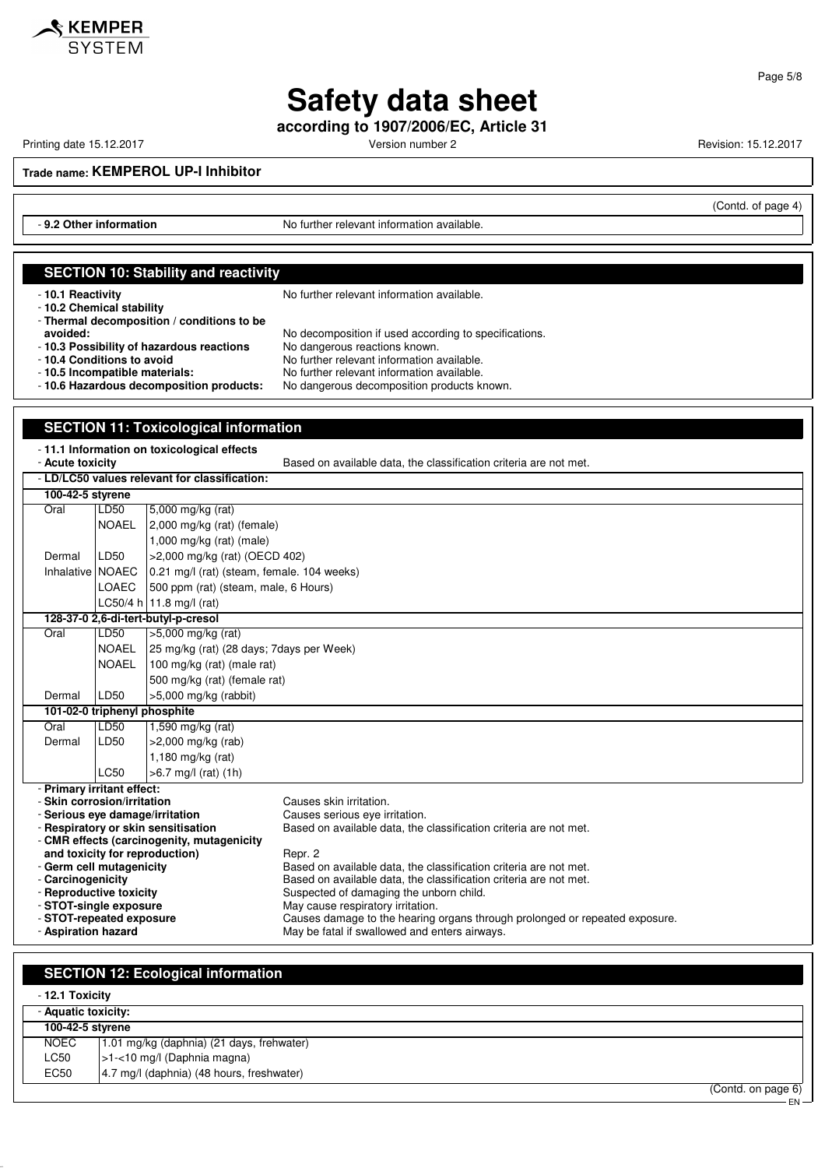

**according to 1907/2006/EC, Article 31**

KEMPER

Printing date 15.12.2017 **Printing date 15.12.2017** Version number 2 **Revision: 15.12.2017** 

(Contd. of page 4)

EN

Page 5/8

**Trade name: KEMPEROL UP-I Inhibitor**

**SECTION 10: Stability and reactivity**

- **9.2 Other information** No further relevant information available.

#### - **10.1 Reactivity 10.1 Reactivity 10.1 Reactivity** - **10.2 Chemical stability** - **Thermal decomposition / conditions to be avoided:** No decomposition if used according to specifications.<br>**10.3 Possibility of hazardous reactions** No dangerous reactions known. - **10.3 Possibility of hazardous reactions** - **10.4 Conditions to avoid**<br>**- 10.5 Incompatible materials:** No further relevant information available. - **10.5 Incompatible materials:** No further relevant information available. No dangerous decomposition products known. **SECTION 11: Toxicological information** - **11.1 Information on toxicological effects** Based on available data, the classification criteria are not met. - **LD/LC50 values relevant for classification: 100-42-5 styrene** Oral LD50 5,000 mg/kg (rat) NOAEL 2,000 mg/kg (rat) (female) 1,000 mg/kg (rat) (male) Dermal LD50 >2,000 mg/kg (rat) (OECD 402) Inhalative NOAEC  $\vert$  0.21 mg/l (rat) (steam, female. 104 weeks) LOAEC 500 ppm (rat) (steam, male, 6 Hours) LC50/4 h 11.8 mg/l (rat) **128-37-0 2,6-di-tert-butyl-p-cresol** Oral LD50 >5,000 mg/kg (rat) NOAEL 25 mg/kg (rat) (28 days; 7days per Week) NOAEL 100 mg/kg (rat) (male rat) 500 mg/kg (rat) (female rat) Dermal LD50 >5,000 mg/kg (rabbit) **101-02-0 triphenyl phosphite** Oral LD50 1,590 mg/kg (rat) Dermal LD50 >2,000 mg/kg (rab) 1,180 mg/kg (rat)

LC50 >6.7 mg/l (rat) (1h) - **Primary irritant effect:** - **Skin corrosion/irritation** Causes skin irritation. - Serious eye damage/irritation - **Respiratory or skin sensitisation** Based on available data, the classification criteria are not met. - **CMR effects (carcinogenity, mutagenicity and toxicity for reproduction)** Repr. 2 - **Germ cell mutagenicity** Based on available data, the classification criteria are not met.<br>- **Carcinogenicity** example at a passed on available data, the classification criteria are not met. - **Carcinogenicity**<br> **- Reproductive toxicity**<br>
Based on available data, the classification criteria are not met.<br>
Suspected of damaging the unborn child. Suspected of damaging the unborn child. - **STOT-single exposure** May cause respiratory irritation.<br>- **STOT-repeated exposure** Causes damage to the hearing - **STOT-repeated exposure Causes damage to the hearing organs through prolonged or repeated exposure.**<br>- **Aspiration hazard Causes of the May be fatal if swallowed and enters airways.** May be fatal if swallowed and enters airways.

#### **SECTION 12: Ecological information**

| - 12.1 Toxicity     |                                           |  |
|---------------------|-------------------------------------------|--|
| - Aquatic toxicity: |                                           |  |
| 100-42-5 styrene    |                                           |  |
| NOEC                | 1.01 mg/kg (daphnia) (21 days, frehwater) |  |
| LC50                | $ $ >1-<10 mg/l (Daphnia magna)           |  |
| EC50                | 4.7 mg/l (daphnia) (48 hours, freshwater) |  |
|                     | (Contd. on page 6)                        |  |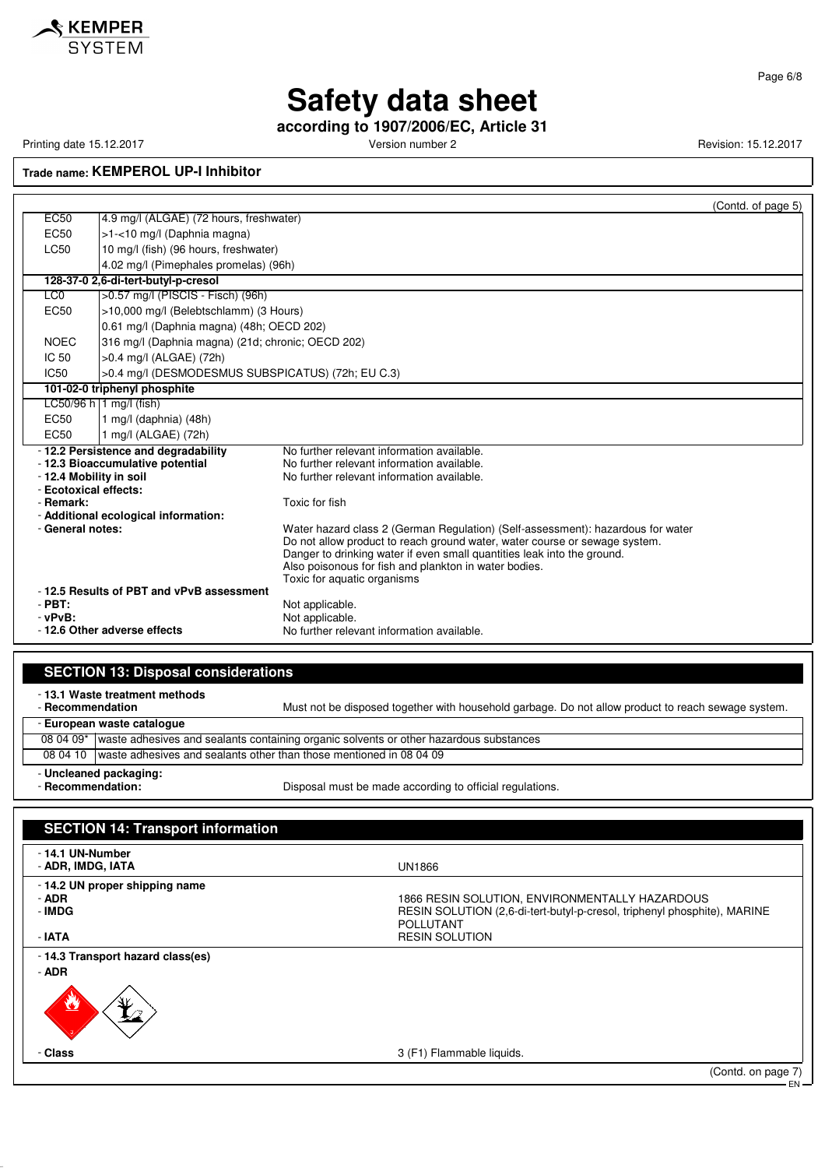

**according to 1907/2006/EC, Article 31**

Printing date 15.12.2017 **Printing date 15.12.2017** Version number 2 Revision: 15.12.2017

**Trade name: KEMPEROL UP-I Inhibitor**

|                                                                                                   |                                                   |                                                                                                                                                                                                                                                                                                                                  | (Contd. of page 5) |
|---------------------------------------------------------------------------------------------------|---------------------------------------------------|----------------------------------------------------------------------------------------------------------------------------------------------------------------------------------------------------------------------------------------------------------------------------------------------------------------------------------|--------------------|
| <b>EC50</b>                                                                                       | 4.9 mg/l (ALGAE) (72 hours, freshwater)           |                                                                                                                                                                                                                                                                                                                                  |                    |
| EC50                                                                                              | >1-<10 mg/l (Daphnia magna)                       |                                                                                                                                                                                                                                                                                                                                  |                    |
| LC50                                                                                              | 10 mg/l (fish) (96 hours, freshwater)             |                                                                                                                                                                                                                                                                                                                                  |                    |
|                                                                                                   | 4.02 mg/l (Pimephales promelas) (96h)             |                                                                                                                                                                                                                                                                                                                                  |                    |
|                                                                                                   | 128-37-0 2,6-di-tert-butyl-p-cresol               |                                                                                                                                                                                                                                                                                                                                  |                    |
| LC <sub>0</sub>                                                                                   | >0.57 mg/l (PISCIS - Fisch) (96h)                 |                                                                                                                                                                                                                                                                                                                                  |                    |
| EC <sub>50</sub>                                                                                  | >10,000 mg/l (Belebtschlamm) (3 Hours)            |                                                                                                                                                                                                                                                                                                                                  |                    |
|                                                                                                   | 0.61 mg/l (Daphnia magna) (48h; OECD 202)         |                                                                                                                                                                                                                                                                                                                                  |                    |
| <b>NOEC</b>                                                                                       | 316 mg/l (Daphnia magna) (21d; chronic; OECD 202) |                                                                                                                                                                                                                                                                                                                                  |                    |
| IC <sub>50</sub>                                                                                  | >0.4 mg/l (ALGAE) (72h)                           |                                                                                                                                                                                                                                                                                                                                  |                    |
| IC50                                                                                              | >0.4 mg/l (DESMODESMUS SUBSPICATUS) (72h; EU C.3) |                                                                                                                                                                                                                                                                                                                                  |                    |
|                                                                                                   | 101-02-0 triphenyl phosphite                      |                                                                                                                                                                                                                                                                                                                                  |                    |
|                                                                                                   | LC50/96 h   1 mg/l (fish)                         |                                                                                                                                                                                                                                                                                                                                  |                    |
| EC <sub>50</sub>                                                                                  | 1 mg/l (daphnia) (48h)                            |                                                                                                                                                                                                                                                                                                                                  |                    |
| FC50                                                                                              | 1 mg/l (ALGAE) (72h)                              |                                                                                                                                                                                                                                                                                                                                  |                    |
|                                                                                                   | -12.2 Persistence and degradability               | No further relevant information available.                                                                                                                                                                                                                                                                                       |                    |
|                                                                                                   | - 12.3 Bioaccumulative potential                  | No further relevant information available.                                                                                                                                                                                                                                                                                       |                    |
|                                                                                                   | - 12.4 Mobility in soil                           | No further relevant information available.                                                                                                                                                                                                                                                                                       |                    |
| - Remark:                                                                                         | - Ecotoxical effects:                             | Toxic for fish                                                                                                                                                                                                                                                                                                                   |                    |
|                                                                                                   | - Additional ecological information:              |                                                                                                                                                                                                                                                                                                                                  |                    |
| - General notes:                                                                                  |                                                   | Water hazard class 2 (German Regulation) (Self-assessment): hazardous for water<br>Do not allow product to reach ground water, water course or sewage system.<br>Danger to drinking water if even small quantities leak into the ground.<br>Also poisonous for fish and plankton in water bodies.<br>Toxic for aquatic organisms |                    |
| -12.5 Results of PBT and vPvB assessment<br>$-$ PBT:<br>$-$ vPvB:<br>- 12.6 Other adverse effects |                                                   | Not applicable.<br>Not applicable.<br>No further relevant information available.                                                                                                                                                                                                                                                 |                    |

#### **SECTION 13: Disposal considerations**

- **13.1 Waste treatment methods**

|                            | Must not be disposed together with household garbage. Do not allow product to reach sewage system.<br>- Recommendation |  |
|----------------------------|------------------------------------------------------------------------------------------------------------------------|--|
| - European waste cataloque |                                                                                                                        |  |
|                            | 08 04 09* waste adhesives and sealants containing organic solvents or other hazardous substances                       |  |
| 08 04 10                   | waste adhesives and sealants other than those mentioned in 08 04 09                                                    |  |
| - Uncleaned packaging:     |                                                                                                                        |  |
|                            | Disposal must be made according to official regulations.<br>- Recommendation:                                          |  |

| <b>SECTION 14: Transport information</b>                     |                                                                                                                                                                         |
|--------------------------------------------------------------|-------------------------------------------------------------------------------------------------------------------------------------------------------------------------|
| - 14.1 UN-Number<br>- ADR, IMDG, IATA                        | <b>UN1866</b>                                                                                                                                                           |
| - 14.2 UN proper shipping name<br>- ADR<br>- IMDG<br>$-IATA$ | 1866 RESIN SOLUTION, ENVIRONMENTALLY HAZARDOUS<br>RESIN SOLUTION (2,6-di-tert-butyl-p-cresol, triphenyl phosphite), MARINE<br><b>POLLUTANT</b><br><b>RESIN SOLUTION</b> |
| - 14.3 Transport hazard class(es)                            |                                                                                                                                                                         |
| - ADR<br>v<br>72                                             |                                                                                                                                                                         |
| - Class                                                      | 3 (F1) Flammable liquids.                                                                                                                                               |
|                                                              | (Contd. on page 7)                                                                                                                                                      |

EN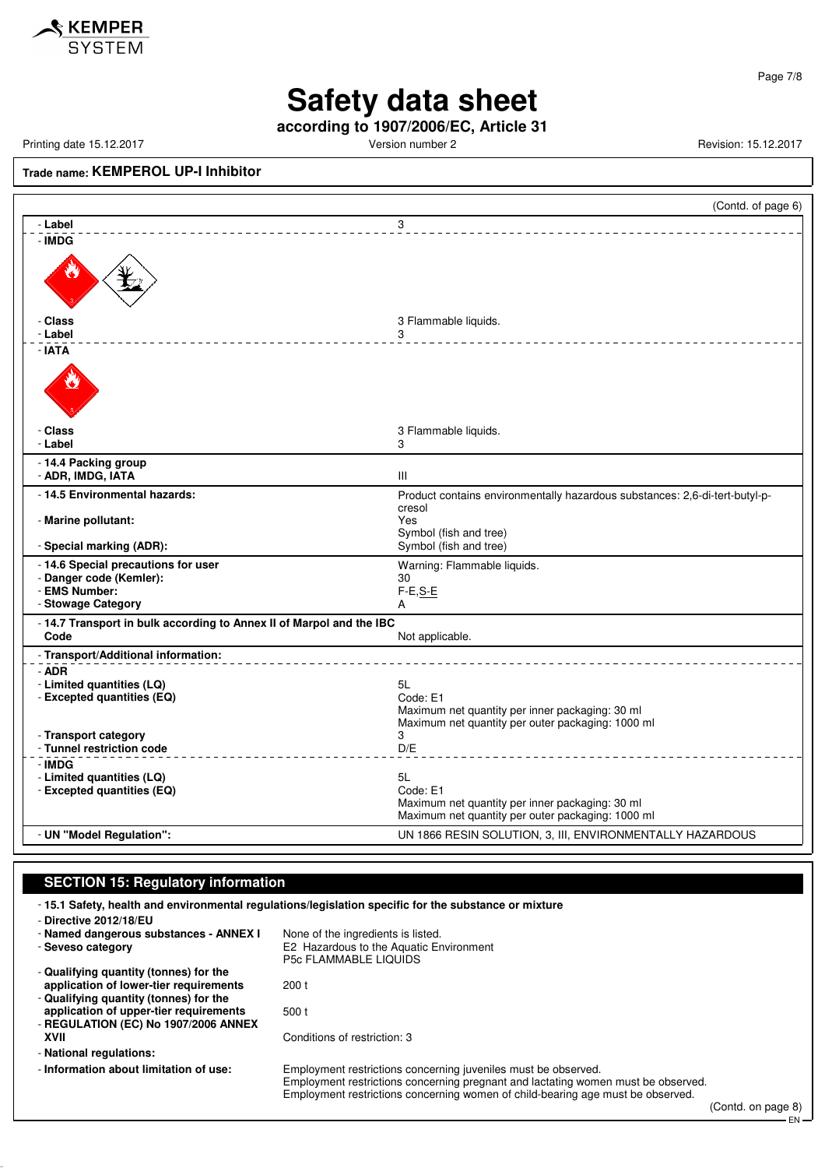

Page 7/8

# **Safety data sheet**

**according to 1907/2006/EC, Article 31**

Printing date 15.12.2017 **Printing date 15.12.2017** Version number 2 Revision: 15.12.2017

### **Trade name: KEMPEROL UP-I Inhibitor**

|                                                                              | (Contd. of page 6)                                                          |
|------------------------------------------------------------------------------|-----------------------------------------------------------------------------|
| - Label                                                                      | 3                                                                           |
| - IMDG                                                                       |                                                                             |
| - Class                                                                      | 3 Flammable liquids.                                                        |
| - Label                                                                      | 3                                                                           |
| - IATA                                                                       |                                                                             |
| - Class                                                                      | 3 Flammable liquids.                                                        |
| - Label                                                                      | 3                                                                           |
| - 14.4 Packing group<br>- ADR, IMDG, IATA                                    | $\mathbf{III}$                                                              |
| - 14.5 Environmental hazards:                                                | Product contains environmentally hazardous substances: 2,6-di-tert-butyl-p- |
| - Marine pollutant:<br>- Special marking (ADR):                              | cresol<br>Yes<br>Symbol (fish and tree)<br>Symbol (fish and tree)           |
| - 14.6 Special precautions for user                                          |                                                                             |
| - Danger code (Kemler):                                                      | Warning: Flammable liquids.<br>30                                           |
| - EMS Number:                                                                | $F-E, S-E$                                                                  |
| - Stowage Category                                                           | A                                                                           |
| - 14.7 Transport in bulk according to Annex II of Marpol and the IBC<br>Code |                                                                             |
|                                                                              | Not applicable.                                                             |
| - Transport/Additional information:                                          |                                                                             |
| - ADR<br>- Limited quantities (LQ)                                           | 5L                                                                          |
| - Excepted quantities (EQ)                                                   | Code: E1                                                                    |
|                                                                              | Maximum net quantity per inner packaging: 30 ml                             |
|                                                                              | Maximum net quantity per outer packaging: 1000 ml                           |
| - Transport category<br>- Tunnel restriction code                            | 3<br>D/E                                                                    |
| - IMDG                                                                       |                                                                             |
| - Limited quantities (LQ)                                                    | 5L                                                                          |
| - Excepted quantities (EQ)                                                   | Code: E1                                                                    |
|                                                                              | Maximum net quantity per inner packaging: 30 ml                             |
|                                                                              | Maximum net quantity per outer packaging: 1000 ml                           |
| - UN "Model Regulation":                                                     | UN 1866 RESIN SOLUTION, 3, III, ENVIRONMENTALLY HAZARDOUS                   |

#### **SECTION 15: Regulatory information**

- **15.1 Safety, health and environmental regulations/legislation specific for the substance or mixture**

| - Directive 2012/18/EU                 |                                                                                                                                                                                                                                        |        |  |
|----------------------------------------|----------------------------------------------------------------------------------------------------------------------------------------------------------------------------------------------------------------------------------------|--------|--|
| - Named dangerous substances - ANNEX I | None of the ingredients is listed.                                                                                                                                                                                                     |        |  |
| - Seveso category                      | E2 Hazardous to the Aquatic Environment<br><b>P5c FLAMMABLE LIQUIDS</b>                                                                                                                                                                |        |  |
| - Qualifying quantity (tonnes) for the |                                                                                                                                                                                                                                        |        |  |
| application of lower-tier requirements | 200t                                                                                                                                                                                                                                   |        |  |
| - Qualifying quantity (tonnes) for the |                                                                                                                                                                                                                                        |        |  |
| application of upper-tier requirements | 500 t                                                                                                                                                                                                                                  |        |  |
| - REGULATION (EC) No 1907/2006 ANNEX   |                                                                                                                                                                                                                                        |        |  |
| XVII                                   | Conditions of restriction: 3                                                                                                                                                                                                           |        |  |
| - National regulations:                |                                                                                                                                                                                                                                        |        |  |
| - Information about limitation of use: | Employment restrictions concerning juveniles must be observed.<br>Employment restrictions concerning pregnant and lactating women must be observed.<br>Employment restrictions concerning women of child-bearing age must be observed. |        |  |
|                                        |                                                                                                                                                                                                                                        | $\sim$ |  |